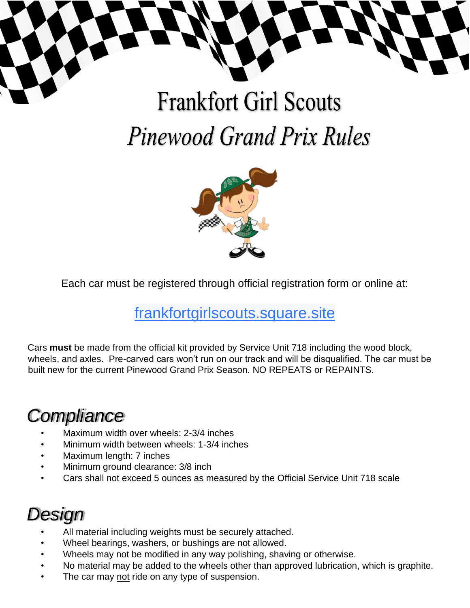

# **Frankfort Girl Scouts Pinewood Grand Prix Rules**



Each car must be registered through official registration form or online at:

#### [frankfortgirlscouts.square.site](http://frankfortgirlscouts.square.site/)

Cars **must** be made from the official kit provided by Service Unit 718 including the wood block, wheels, and axles. Pre-carved cars won't run on our track and will be disqualified. The car must be built new for the current Pinewood Grand Prix Season. NO REPEATS or REPAINTS.

# *Compliance*

- Maximum width over wheels: 2-3/4 inches
- Minimum width between wheels: 1-3/4 inches
- Maximum length: 7 inches
- Minimum ground clearance: 3/8 inch
- Cars shall not exceed 5 ounces as measured by the Official Service Unit 718 scale

### *Design*

- All material including weights must be securely attached.
- Wheel bearings, washers, or bushings are not allowed.
- Wheels may not be modified in any way polishing, shaving or otherwise.
- No material may be added to the wheels other than approved lubrication, which is graphite.
- The car may not ride on any type of suspension.